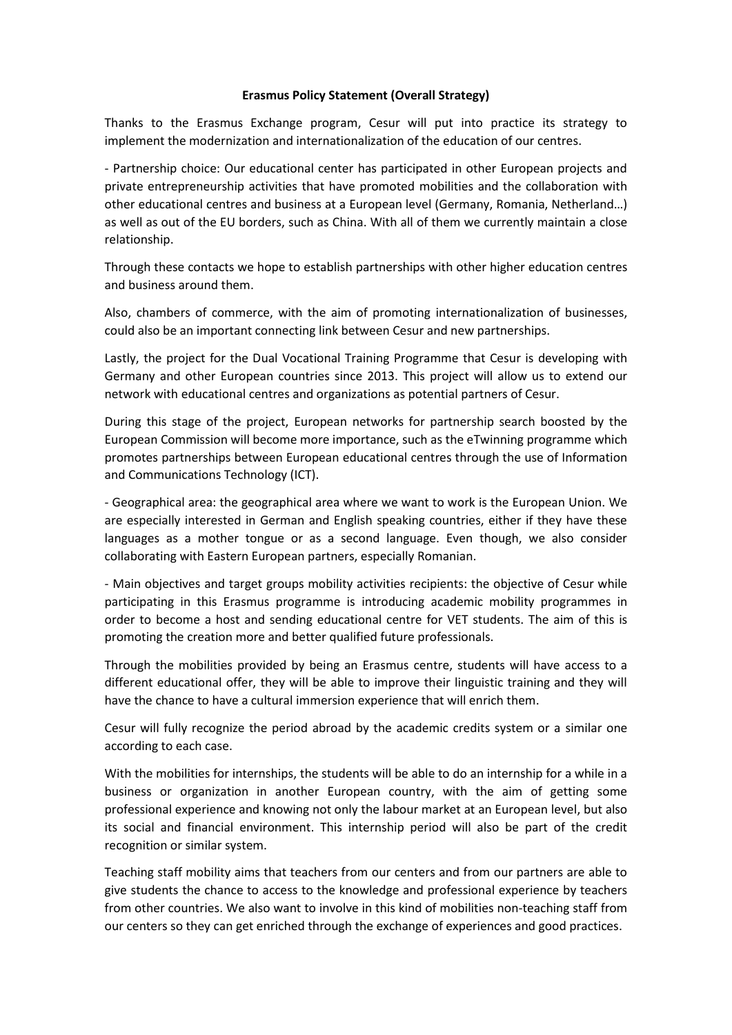## **Erasmus Policy Statement (Overall Strategy)**

Thanks to the Erasmus Exchange program, Cesur will put into practice its strategy to implement the modernization and internationalization of the education of our centres.

- Partnership choice: Our educational center has participated in other European projects and private entrepreneurship activities that have promoted mobilities and the collaboration with other educational centres and business at a European level (Germany, Romania, Netherland…) as well as out of the EU borders, such as China. With all of them we currently maintain a close relationship.

Through these contacts we hope to establish partnerships with other higher education centres and business around them.

Also, chambers of commerce, with the aim of promoting internationalization of businesses, could also be an important connecting link between Cesur and new partnerships.

Lastly, the project for the Dual Vocational Training Programme that Cesur is developing with Germany and other European countries since 2013. This project will allow us to extend our network with educational centres and organizations as potential partners of Cesur.

During this stage of the project, European networks for partnership search boosted by the European Commission will become more importance, such as the eTwinning programme which promotes partnerships between European educational centres through the use of Information and Communications Technology (ICT).

- Geographical area: the geographical area where we want to work is the European Union. We are especially interested in German and English speaking countries, either if they have these languages as a mother tongue or as a second language. Even though, we also consider collaborating with Eastern European partners, especially Romanian.

- Main objectives and target groups mobility activities recipients: the objective of Cesur while participating in this Erasmus programme is introducing academic mobility programmes in order to become a host and sending educational centre for VET students. The aim of this is promoting the creation more and better qualified future professionals.

Through the mobilities provided by being an Erasmus centre, students will have access to a different educational offer, they will be able to improve their linguistic training and they will have the chance to have a cultural immersion experience that will enrich them.

Cesur will fully recognize the period abroad by the academic credits system or a similar one according to each case.

With the mobilities for internships, the students will be able to do an internship for a while in a business or organization in another European country, with the aim of getting some professional experience and knowing not only the labour market at an European level, but also its social and financial environment. This internship period will also be part of the credit recognition or similar system.

Teaching staff mobility aims that teachers from our centers and from our partners are able to give students the chance to access to the knowledge and professional experience by teachers from other countries. We also want to involve in this kind of mobilities non-teaching staff from our centers so they can get enriched through the exchange of experiences and good practices.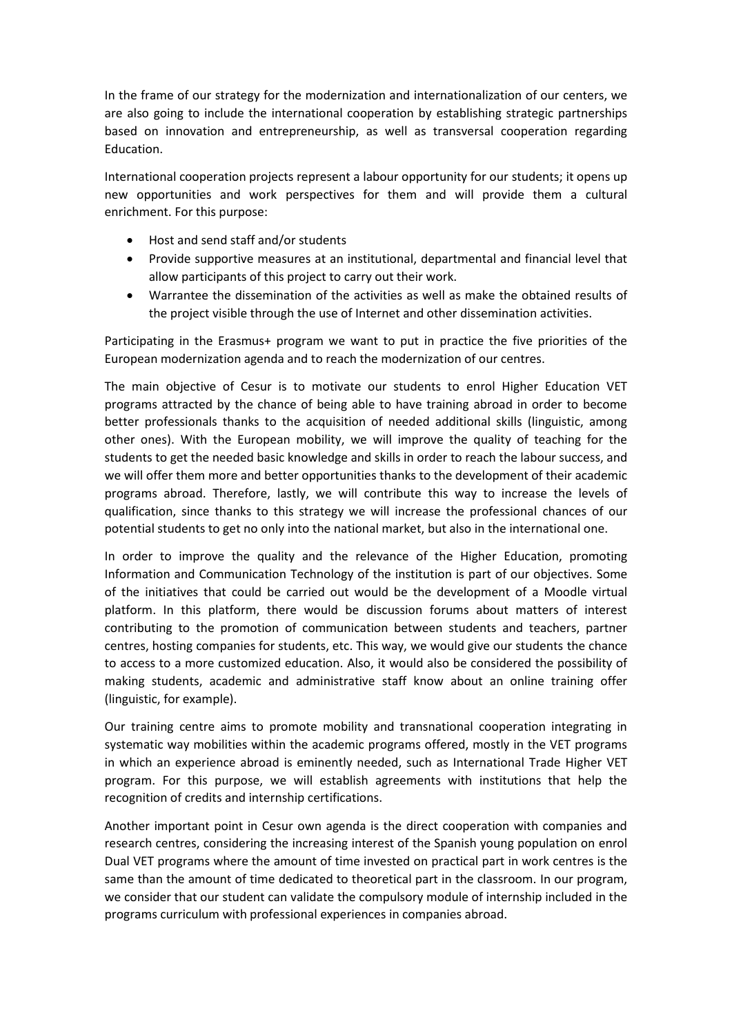In the frame of our strategy for the modernization and internationalization of our centers, we are also going to include the international cooperation by establishing strategic partnerships based on innovation and entrepreneurship, as well as transversal cooperation regarding Education.

International cooperation projects represent a labour opportunity for our students; it opens up new opportunities and work perspectives for them and will provide them a cultural enrichment. For this purpose:

- Host and send staff and/or students
- Provide supportive measures at an institutional, departmental and financial level that allow participants of this project to carry out their work.
- Warrantee the dissemination of the activities as well as make the obtained results of the project visible through the use of Internet and other dissemination activities.

Participating in the Erasmus+ program we want to put in practice the five priorities of the European modernization agenda and to reach the modernization of our centres.

The main objective of Cesur is to motivate our students to enrol Higher Education VET programs attracted by the chance of being able to have training abroad in order to become better professionals thanks to the acquisition of needed additional skills (linguistic, among other ones). With the European mobility, we will improve the quality of teaching for the students to get the needed basic knowledge and skills in order to reach the labour success, and we will offer them more and better opportunities thanks to the development of their academic programs abroad. Therefore, lastly, we will contribute this way to increase the levels of qualification, since thanks to this strategy we will increase the professional chances of our potential students to get no only into the national market, but also in the international one.

In order to improve the quality and the relevance of the Higher Education, promoting Information and Communication Technology of the institution is part of our objectives. Some of the initiatives that could be carried out would be the development of a Moodle virtual platform. In this platform, there would be discussion forums about matters of interest contributing to the promotion of communication between students and teachers, partner centres, hosting companies for students, etc. This way, we would give our students the chance to access to a more customized education. Also, it would also be considered the possibility of making students, academic and administrative staff know about an online training offer (linguistic, for example).

Our training centre aims to promote mobility and transnational cooperation integrating in systematic way mobilities within the academic programs offered, mostly in the VET programs in which an experience abroad is eminently needed, such as International Trade Higher VET program. For this purpose, we will establish agreements with institutions that help the recognition of credits and internship certifications.

Another important point in Cesur own agenda is the direct cooperation with companies and research centres, considering the increasing interest of the Spanish young population on enrol Dual VET programs where the amount of time invested on practical part in work centres is the same than the amount of time dedicated to theoretical part in the classroom. In our program, we consider that our student can validate the compulsory module of internship included in the programs curriculum with professional experiences in companies abroad.